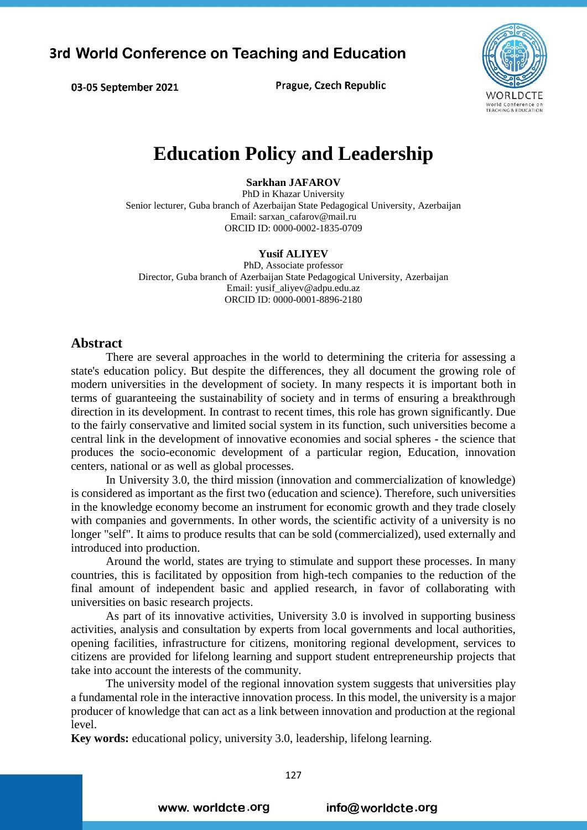**Prague, Czech Republic** 



# **Education Policy and Leadership**

**Sarkhan JAFAROV**

PhD in Khazar University Senior lecturer, Guba branch of Azerbaijan State Pedagogical University, Azerbaijan Email: sarxan\_cafarov@mail.ru ORCID ID: 0000-0002-1835-0709

#### **Yusif ALIYEV**

PhD, Associate professor Director, Guba branch of Azerbaijan State Pedagogical University, Azerbaijan Email: yusif\_aliyev@adpu.edu.az ORCID ID: 0000-0001-8896-2180

#### **Abstract**

03-05 September 2021

There are several approaches in the world to determining the criteria for assessing a state's education policy. But despite the differences, they all document the growing role of modern universities in the development of society. In many respects it is important both in terms of guaranteeing the sustainability of society and in terms of ensuring a breakthrough direction in its development. In contrast to recent times, this role has grown significantly. Due to the fairly conservative and limited social system in its function, such universities become a central link in the development of innovative economies and social spheres - the science that produces the socio-economic development of a particular region, Education, innovation centers, national or as well as global processes.

In University 3.0, the third mission (innovation and commercialization of knowledge) is considered as important as the first two (education and science). Therefore, such universities in the knowledge economy become an instrument for economic growth and they trade closely with companies and governments. In other words, the scientific activity of a university is no longer "self". It aims to produce results that can be sold (commercialized), used externally and introduced into production.

Around the world, states are trying to stimulate and support these processes. In many countries, this is facilitated by opposition from high-tech companies to the reduction of the final amount of independent basic and applied research, in favor of collaborating with universities on basic research projects.

As part of its innovative activities, University 3.0 is involved in supporting business activities, analysis and consultation by experts from local governments and local authorities, opening facilities, infrastructure for citizens, monitoring regional development, services to citizens are provided for lifelong learning and support student entrepreneurship projects that take into account the interests of the community.

The university model of the regional innovation system suggests that universities play a fundamental role in the interactive innovation process. In this model, the university is a major producer of knowledge that can act as a link between innovation and production at the regional level.

**Key words:** educational policy, university 3.0, leadership, lifelong learning.

www. worldcte.org

info@worldcte.org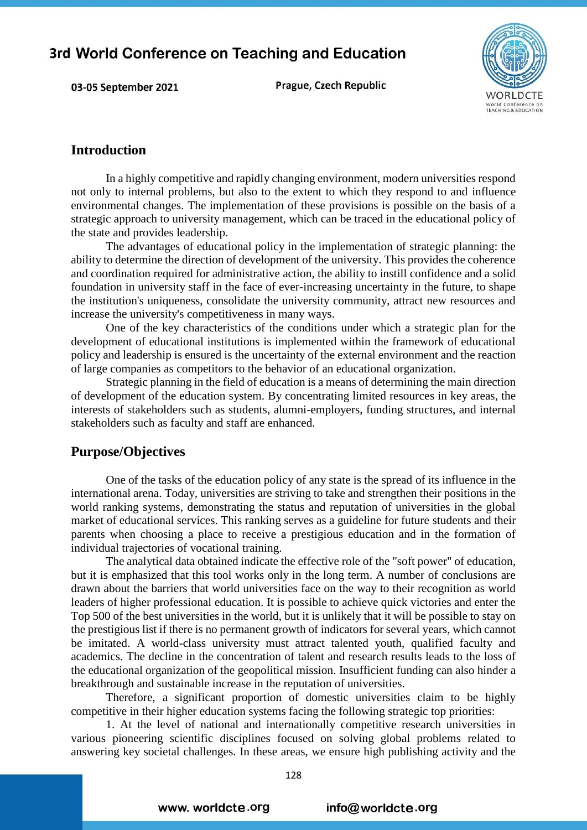Prague, Czech Republic



#### **Introduction**

03-05 September 2021

In a highly competitive and rapidly changing environment, modern universities respond not only to internal problems, but also to the extent to which they respond to and influence environmental changes. The implementation of these provisions is possible on the basis of a strategic approach to university management, which can be traced in the educational policy of the state and provides leadership.

The advantages of educational policy in the implementation of strategic planning: the ability to determine the direction of development of the university. This provides the coherence and coordination required for administrative action, the ability to instill confidence and a solid foundation in university staff in the face of ever-increasing uncertainty in the future, to shape the institution's uniqueness, consolidate the university community, attract new resources and increase the university's competitiveness in many ways.

One of the key characteristics of the conditions under which a strategic plan for the development of educational institutions is implemented within the framework of educational policy and leadership is ensured is the uncertainty of the external environment and the reaction of large companies as competitors to the behavior of an educational organization.

Strategic planning in the field of education is a means of determining the main direction of development of the education system. By concentrating limited resources in key areas, the interests of stakeholders such as students, alumni-employers, funding structures, and internal stakeholders such as faculty and staff are enhanced.

#### **Purpose/Objectives**

One of the tasks of the education policy of any state is the spread of its influence in the international arena. Today, universities are striving to take and strengthen their positions in the world ranking systems, demonstrating the status and reputation of universities in the global market of educational services. This ranking serves as a guideline for future students and their parents when choosing a place to receive a prestigious education and in the formation of individual trajectories of vocational training.

The analytical data obtained indicate the effective role of the "soft power" of education, but it is emphasized that this tool works only in the long term. A number of conclusions are drawn about the barriers that world universities face on the way to their recognition as world leaders of higher professional education. It is possible to achieve quick victories and enter the Top 500 of the best universities in the world, but it is unlikely that it will be possible to stay on the prestigious list if there is no permanent growth of indicators for several years, which cannot be imitated. A world-class university must attract talented youth, qualified faculty and academics. The decline in the concentration of talent and research results leads to the loss of the educational organization of the geopolitical mission. Insufficient funding can also hinder a breakthrough and sustainable increase in the reputation of universities.

Therefore, a significant proportion of domestic universities claim to be highly competitive in their higher education systems facing the following strategic top priorities:

1. At the level of national and internationally competitive research universities in various pioneering scientific disciplines focused on solving global problems related to answering key societal challenges. In these areas, we ensure high publishing activity and the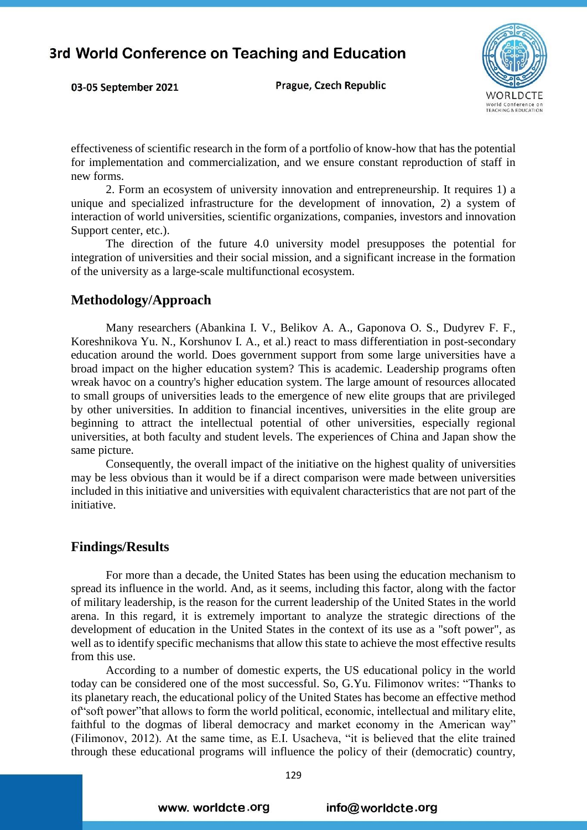Prague, Czech Republic



effectiveness of scientific research in the form of a portfolio of know-how that has the potential for implementation and commercialization, and we ensure constant reproduction of staff in new forms.

2. Form an ecosystem of university innovation and entrepreneurship. It requires 1) a unique and specialized infrastructure for the development of innovation, 2) a system of interaction of world universities, scientific organizations, companies, investors and innovation Support center, etc.).

The direction of the future 4.0 university model presupposes the potential for integration of universities and their social mission, and a significant increase in the formation of the university as a large-scale multifunctional ecosystem.

#### **Methodology/Approach**

03-05 September 2021

Many researchers (Abankina I. V., Belikov A. A., Gaponova O. S., Dudyrev F. F., Koreshnikova Yu. N., Korshunov I. A., et al.) react to mass differentiation in post-secondary education around the world. Does government support from some large universities have a broad impact on the higher education system? This is academic. Leadership programs often wreak havoc on a country's higher education system. The large amount of resources allocated to small groups of universities leads to the emergence of new elite groups that are privileged by other universities. In addition to financial incentives, universities in the elite group are beginning to attract the intellectual potential of other universities, especially regional universities, at both faculty and student levels. The experiences of China and Japan show the same picture.

Consequently, the overall impact of the initiative on the highest quality of universities may be less obvious than it would be if a direct comparison were made between universities included in this initiative and universities with equivalent characteristics that are not part of the initiative.

#### **Findings/Results**

For more than a decade, the United States has been using the education mechanism to spread its influence in the world. And, as it seems, including this factor, along with the factor of military leadership, is the reason for the current leadership of the United States in the world arena. In this regard, it is extremely important to analyze the strategic directions of the development of education in the United States in the context of its use as a "soft power", as well as to identify specific mechanisms that allow this state to achieve the most effective results from this use.

According to a number of domestic experts, the US educational policy in the world today can be considered one of the most successful. So, G.Yu. Filimonov writes: "Thanks to its planetary reach, the educational policy of the United States has become an effective method of"soft power"that allows to form the world political, economic, intellectual and military elite, faithful to the dogmas of liberal democracy and market economy in the American way" (Filimonov, 2012). At the same time, as E.I. Usacheva, "it is believed that the elite trained through these educational programs will influence the policy of their (democratic) country,

www. worldcte.org

#### info@worldcte.org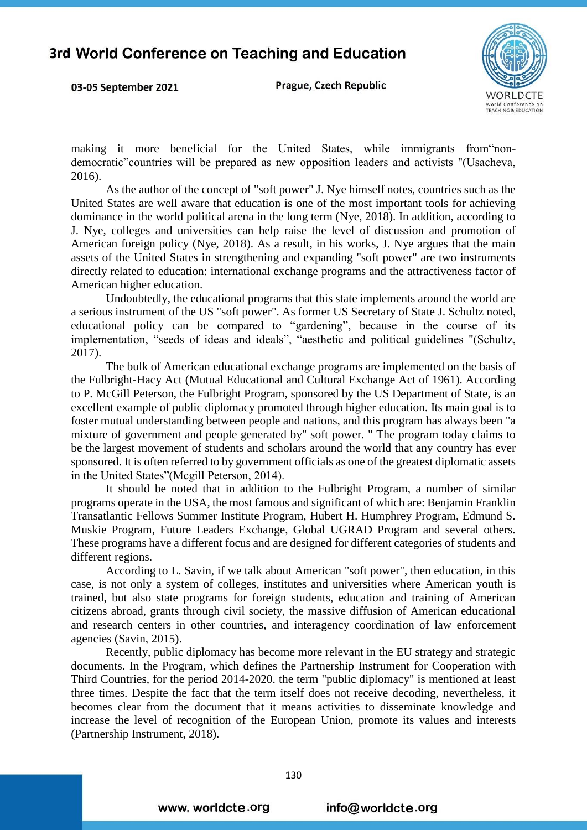03-05 September 2021

Prague, Czech Republic



making it more beneficial for the United States, while immigrants from"nondemocratic"countries will be prepared as new opposition leaders and activists "(Usacheva, 2016).

As the author of the concept of "soft power" J. Nye himself notes, countries such as the United States are well aware that education is one of the most important tools for achieving dominance in the world political arena in the long term (Nye, 2018). In addition, according to J. Nye, colleges and universities can help raise the level of discussion and promotion of American foreign policy (Nye, 2018). As a result, in his works, J. Nye argues that the main assets of the United States in strengthening and expanding "soft power" are two instruments directly related to education: international exchange programs and the attractiveness factor of American higher education.

Undoubtedly, the educational programs that this state implements around the world are a serious instrument of the US "soft power". As former US Secretary of State J. Schultz noted, educational policy can be compared to "gardening", because in the course of its implementation, "seeds of ideas and ideals", "aesthetic and political guidelines "(Schultz, 2017).

The bulk of American educational exchange programs are implemented on the basis of the Fulbright-Hacy Act (Mutual Educational and Cultural Exchange Act of 1961). According to P. McGill Peterson, the Fulbright Program, sponsored by the US Department of State, is an excellent example of public diplomacy promoted through higher education. Its main goal is to foster mutual understanding between people and nations, and this program has always been "a mixture of government and people generated by" soft power. " The program today claims to be the largest movement of students and scholars around the world that any country has ever sponsored. It is often referred to by government officials as one of the greatest diplomatic assets in the United States"(Mcgill Peterson, 2014).

It should be noted that in addition to the Fulbright Program, a number of similar programs operate in the USA, the most famous and significant of which are: Benjamin Franklin Transatlantic Fellows Summer Institute Program, Hubert H. Humphrey Program, Edmund S. Muskie Program, Future Leaders Exchange, Global UGRAD Program and several others. These programs have a different focus and are designed for different categories of students and different regions.

According to L. Savin, if we talk about American "soft power", then education, in this case, is not only a system of colleges, institutes and universities where American youth is trained, but also state programs for foreign students, education and training of American citizens abroad, grants through civil society, the massive diffusion of American educational and research centers in other countries, and interagency coordination of law enforcement agencies (Savin, 2015).

Recently, public diplomacy has become more relevant in the EU strategy and strategic documents. In the Program, which defines the Partnership Instrument for Cooperation with Third Countries, for the period 2014-2020. the term "public diplomacy" is mentioned at least three times. Despite the fact that the term itself does not receive decoding, nevertheless, it becomes clear from the document that it means activities to disseminate knowledge and increase the level of recognition of the European Union, promote its values and interests (Partnership Instrument, 2018).

www. worldcte.org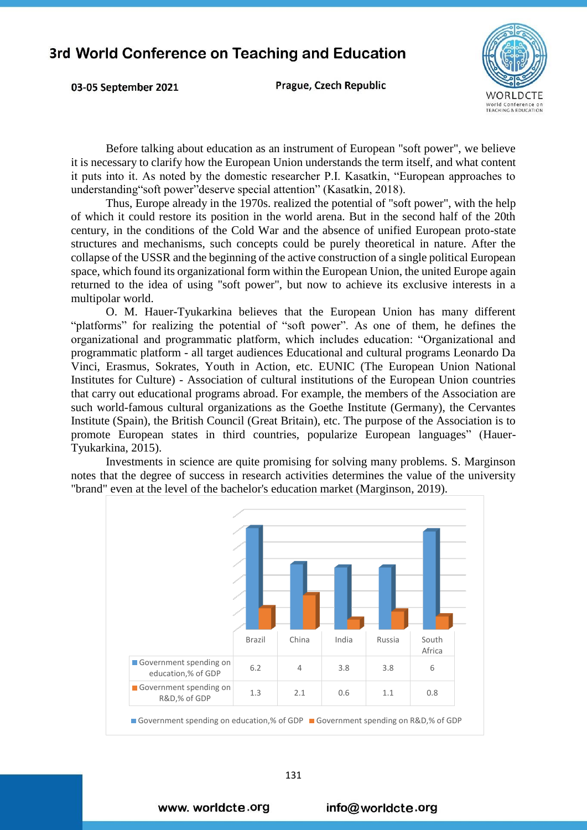03-05 September 2021

**Prague, Czech Republic** 



Before talking about education as an instrument of European "soft power", we believe it is necessary to clarify how the European Union understands the term itself, and what content it puts into it. As noted by the domestic researcher P.I. Kasatkin, "European approaches to understanding"soft power"deserve special attention" (Kasatkin, 2018).

Thus, Europe already in the 1970s. realized the potential of "soft power", with the help of which it could restore its position in the world arena. But in the second half of the 20th century, in the conditions of the Cold War and the absence of unified European proto-state structures and mechanisms, such concepts could be purely theoretical in nature. After the collapse of the USSR and the beginning of the active construction of a single political European space, which found its organizational form within the European Union, the united Europe again returned to the idea of using "soft power", but now to achieve its exclusive interests in a multipolar world.

O. M. Hauer-Tyukarkina believes that the European Union has many different "platforms" for realizing the potential of "soft power". As one of them, he defines the organizational and programmatic platform, which includes education: "Organizational and programmatic platform - all target audiences Educational and cultural programs Leonardo Da Vinci, Erasmus, Sokrates, Youth in Action, etc. EUNIC (The European Union National Institutes for Culture) - Association of cultural institutions of the European Union countries that carry out educational programs abroad. For example, the members of the Association are such world-famous cultural organizations as the Goethe Institute (Germany), the Cervantes Institute (Spain), the British Council (Great Britain), etc. The purpose of the Association is to promote European states in third countries, popularize European languages" (Hauer-Tyukarkina, 2015).

Investments in science are quite promising for solving many problems. S. Marginson notes that the degree of success in research activities determines the value of the university "brand" even at the level of the bachelor's education market (Marginson, 2019).



www. worldcte.org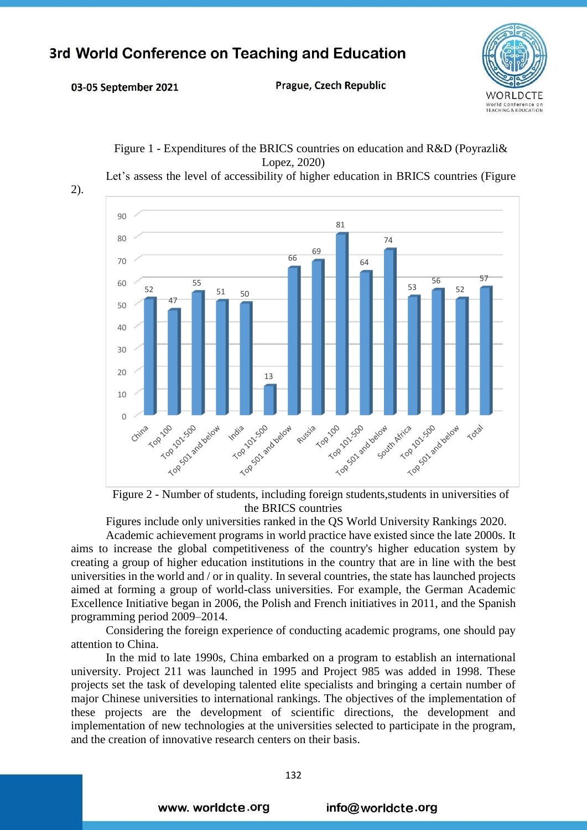03-05 September 2021

**Prague, Czech Republic** 





Figure 1 - Expenditures of the BRICS countries on education and R&D (Poyrazli& Lopez, 2020)

Figure 2 - Number of students, including foreign students,students in universities of the BRICS countries

Figures include only universities ranked in the QS World University Rankings 2020.

Academic achievement programs in world practice have existed since the late 2000s. It aims to increase the global competitiveness of the country's higher education system by creating a group of higher education institutions in the country that are in line with the best universities in the world and / or in quality. In several countries, the state has launched projects aimed at forming a group of world-class universities. For example, the German Academic Excellence Initiative began in 2006, the Polish and French initiatives in 2011, and the Spanish programming period 2009–2014.

Considering the foreign experience of conducting academic programs, one should pay attention to China.

In the mid to late 1990s, China embarked on a program to establish an international university. Project 211 was launched in 1995 and Project 985 was added in 1998. These projects set the task of developing talented elite specialists and bringing a certain number of major Chinese universities to international rankings. The objectives of the implementation of these projects are the development of scientific directions, the development and implementation of new technologies at the universities selected to participate in the program, and the creation of innovative research centers on their basis.

www. worldcte.org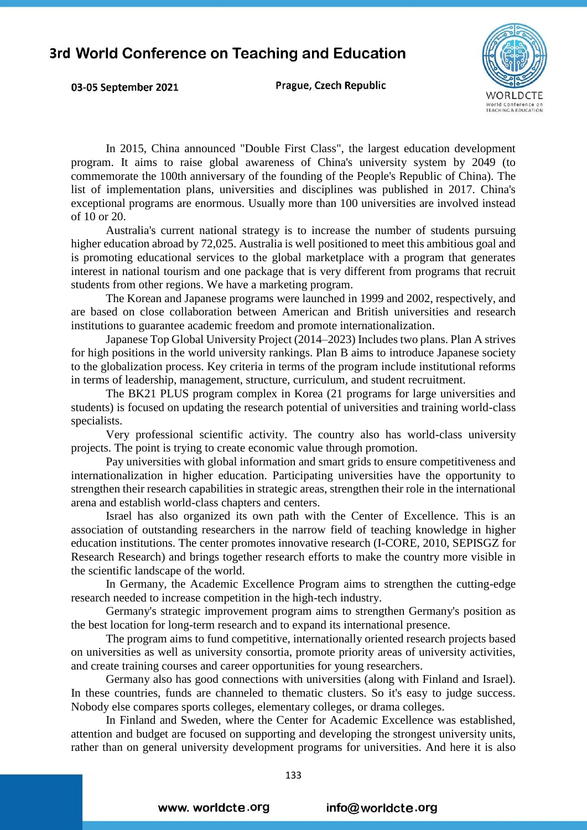03-05 September 2021

Prague, Czech Republic



In 2015, China announced "Double First Class", the largest education development program. It aims to raise global awareness of China's university system by 2049 (to commemorate the 100th anniversary of the founding of the People's Republic of China). The list of implementation plans, universities and disciplines was published in 2017. China's exceptional programs are enormous. Usually more than 100 universities are involved instead of 10 or 20.

Australia's current national strategy is to increase the number of students pursuing higher education abroad by 72,025. Australia is well positioned to meet this ambitious goal and is promoting educational services to the global marketplace with a program that generates interest in national tourism and one package that is very different from programs that recruit students from other regions. We have a marketing program.

The Korean and Japanese programs were launched in 1999 and 2002, respectively, and are based on close collaboration between American and British universities and research institutions to guarantee academic freedom and promote internationalization.

Japanese Top Global University Project (2014–2023) Includes two plans. Plan A strives for high positions in the world university rankings. Plan B aims to introduce Japanese society to the globalization process. Key criteria in terms of the program include institutional reforms in terms of leadership, management, structure, curriculum, and student recruitment.

The BK21 PLUS program complex in Korea (21 programs for large universities and students) is focused on updating the research potential of universities and training world-class specialists.

Very professional scientific activity. The country also has world-class university projects. The point is trying to create economic value through promotion.

Pay universities with global information and smart grids to ensure competitiveness and internationalization in higher education. Participating universities have the opportunity to strengthen their research capabilities in strategic areas, strengthen their role in the international arena and establish world-class chapters and centers.

Israel has also organized its own path with the Center of Excellence. This is an association of outstanding researchers in the narrow field of teaching knowledge in higher education institutions. The center promotes innovative research (I-CORE, 2010, SEPISGZ for Research Research) and brings together research efforts to make the country more visible in the scientific landscape of the world.

In Germany, the Academic Excellence Program aims to strengthen the cutting-edge research needed to increase competition in the high-tech industry.

Germany's strategic improvement program aims to strengthen Germany's position as the best location for long-term research and to expand its international presence.

The program aims to fund competitive, internationally oriented research projects based on universities as well as university consortia, promote priority areas of university activities, and create training courses and career opportunities for young researchers.

Germany also has good connections with universities (along with Finland and Israel). In these countries, funds are channeled to thematic clusters. So it's easy to judge success. Nobody else compares sports colleges, elementary colleges, or drama colleges.

In Finland and Sweden, where the Center for Academic Excellence was established, attention and budget are focused on supporting and developing the strongest university units, rather than on general university development programs for universities. And here it is also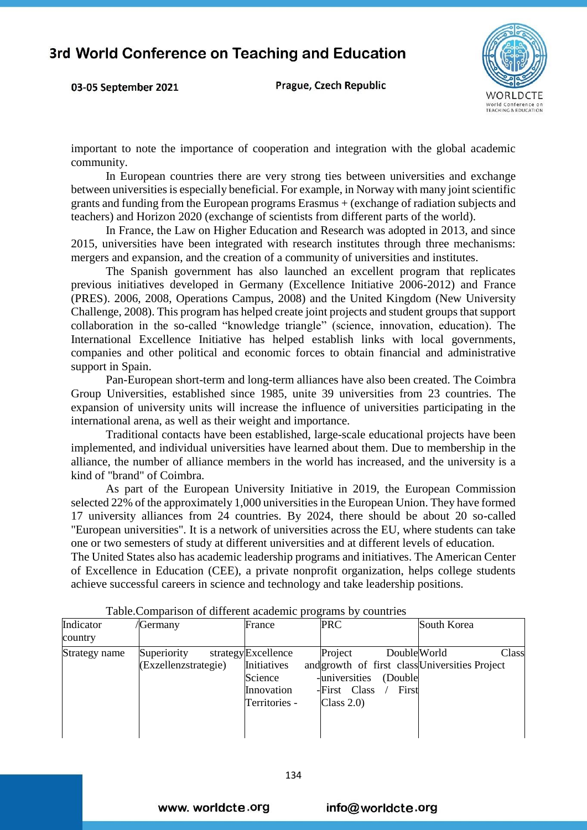03-05 September 2021

Prague, Czech Republic



important to note the importance of cooperation and integration with the global academic community.

In European countries there are very strong ties between universities and exchange between universities is especially beneficial. For example, in Norway with many joint scientific grants and funding from the European programs Erasmus + (exchange of radiation subjects and teachers) and Horizon 2020 (exchange of scientists from different parts of the world).

In France, the Law on Higher Education and Research was adopted in 2013, and since 2015, universities have been integrated with research institutes through three mechanisms: mergers and expansion, and the creation of a community of universities and institutes.

The Spanish government has also launched an excellent program that replicates previous initiatives developed in Germany (Excellence Initiative 2006-2012) and France (PRES). 2006, 2008, Operations Campus, 2008) and the United Kingdom (New University Challenge, 2008). This program has helped create joint projects and student groups that support collaboration in the so-called "knowledge triangle" (science, innovation, education). The International Excellence Initiative has helped establish links with local governments, companies and other political and economic forces to obtain financial and administrative support in Spain.

Pan-European short-term and long-term alliances have also been created. The Coimbra Group Universities, established since 1985, unite 39 universities from 23 countries. The expansion of university units will increase the influence of universities participating in the international arena, as well as their weight and importance.

Traditional contacts have been established, large-scale educational projects have been implemented, and individual universities have learned about them. Due to membership in the alliance, the number of alliance members in the world has increased, and the university is a kind of "brand" of Coimbra.

As part of the European University Initiative in 2019, the European Commission selected 22% of the approximately 1,000 universities in the European Union. They have formed 17 university alliances from 24 countries. By 2024, there should be about 20 so-called "European universities". It is a network of universities across the EU, where students can take one or two semesters of study at different universities and at different levels of education.

The United States also has academic leadership programs and initiatives. The American Center of Excellence in Education (CEE), a private nonprofit organization, helps college students achieve successful careers in science and technology and take leadership positions.

| Indicator     | /Germany             | France             | <b>PRC</b>                                     | South Korea |
|---------------|----------------------|--------------------|------------------------------------------------|-------------|
| country       |                      |                    |                                                |             |
| Strategy name | Superiority          | strategyExcellence | Project<br>DoubleWorld                         | Class       |
|               | (Exzellenzstrategie) | Initiatives        | and growth of first class Universities Project |             |
|               |                      | Science            | -universities<br>(Double                       |             |
|               |                      | Innovation         | -First Class<br>First                          |             |
|               |                      | Territories -      | Class $2.0$ )                                  |             |
|               |                      |                    |                                                |             |
|               |                      |                    |                                                |             |

Table.Comparison of different academic programs by countries

www. worldcte.org

info@worldcte.org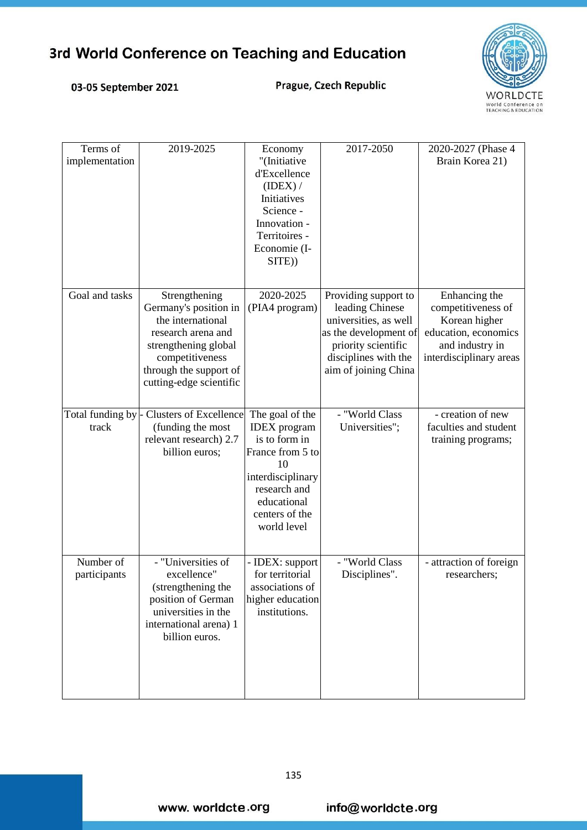# **WORLDCTE** World Conference on<br>TEACHING & EDUCATION

### 03-05 September 2021

Prague, Czech Republic

| Terms of<br>implementation | 2019-2025                                                                                                                                                                         | Economy<br>"(Initiative<br>d'Excellence<br>(IDENT) /<br>Initiatives<br>Science -<br>Innovation -<br>Territoires -<br>Economie (I-<br>SITE))                            | 2017-2050                                                                                                                                                        | 2020-2027 (Phase 4<br>Brain Korea 21)                                                                                      |
|----------------------------|-----------------------------------------------------------------------------------------------------------------------------------------------------------------------------------|------------------------------------------------------------------------------------------------------------------------------------------------------------------------|------------------------------------------------------------------------------------------------------------------------------------------------------------------|----------------------------------------------------------------------------------------------------------------------------|
| Goal and tasks             | Strengthening<br>Germany's position in<br>the international<br>research arena and<br>strengthening global<br>competitiveness<br>through the support of<br>cutting-edge scientific | 2020-2025<br>(PIA4 program)                                                                                                                                            | Providing support to<br>leading Chinese<br>universities, as well<br>as the development of<br>priority scientific<br>disciplines with the<br>aim of joining China | Enhancing the<br>competitiveness of<br>Korean higher<br>education, economics<br>and industry in<br>interdisciplinary areas |
| track                      | Total funding by - Clusters of Excellence<br>(funding the most<br>relevant research) 2.7<br>billion euros;                                                                        | The goal of the<br><b>IDEX</b> program<br>is to form in<br>France from 5 to<br>10<br>interdisciplinary<br>research and<br>educational<br>centers of the<br>world level | - "World Class<br>Universities";                                                                                                                                 | - creation of new<br>faculties and student<br>training programs;                                                           |
| Number of<br>participants  | - "Universities of<br>excellence"<br>(strengthening the<br>position of German<br>universities in the<br>international arena) 1<br>billion euros.                                  | - IDEX: support<br>for territorial<br>associations of<br>higher education<br>institutions.                                                                             | - "World Class<br>Disciplines".                                                                                                                                  | - attraction of foreign<br>researchers;                                                                                    |

www.worldcte.org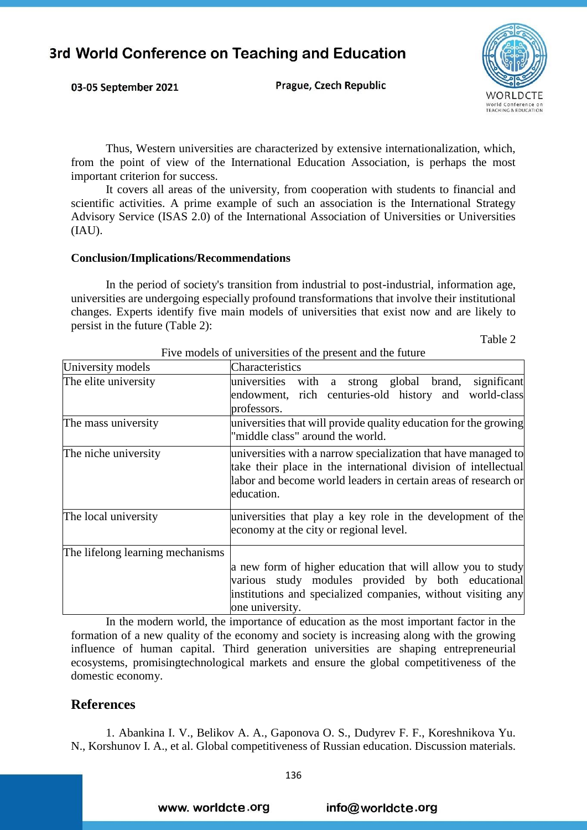Prague, Czech Republic



Thus, Western universities are characterized by extensive internationalization, which, from the point of view of the International Education Association, is perhaps the most important criterion for success.

It covers all areas of the university, from cooperation with students to financial and scientific activities. A prime example of such an association is the International Strategy Advisory Service (ISAS 2.0) of the International Association of Universities or Universities (IAU).

#### **Conclusion/Implications/Recommendations**

03-05 September 2021

In the period of society's transition from industrial to post-industrial, information age, universities are undergoing especially profound transformations that involve their institutional changes. Experts identify five main models of universities that exist now and are likely to persist in the future (Table 2):

Table 2

| University models                | Characteristics                                                                                                                                                                                                  |
|----------------------------------|------------------------------------------------------------------------------------------------------------------------------------------------------------------------------------------------------------------|
| The elite university             | significant<br>with a strong global brand,<br>universities<br>endowment, rich centuries-old history and world-class<br>professors.                                                                               |
| The mass university              | universities that will provide quality education for the growing<br>"middle class" around the world.                                                                                                             |
| The niche university             | universities with a narrow specialization that have managed to<br>take their place in the international division of intellectual<br>labor and become world leaders in certain areas of research or<br>education. |
| The local university             | universities that play a key role in the development of the<br>economy at the city or regional level.                                                                                                            |
| The lifelong learning mechanisms | a new form of higher education that will allow you to study<br>various study modules provided by both educational<br>institutions and specialized companies, without visiting any<br>one university.             |

Five models of universities of the present and the future

In the modern world, the importance of education as the most important factor in the formation of a new quality of the economy and society is increasing along with the growing influence of human capital. Third generation universities are shaping entrepreneurial ecosystems, promisingtechnological markets and ensure the global competitiveness of the domestic economy.

### **References**

1. Abankina I. V., Belikov A. A., Gaponova O. S., Dudyrev F. F., Koreshnikova Yu. N., Korshunov I. A., et al. Global competitiveness of Russian education. Discussion materials.